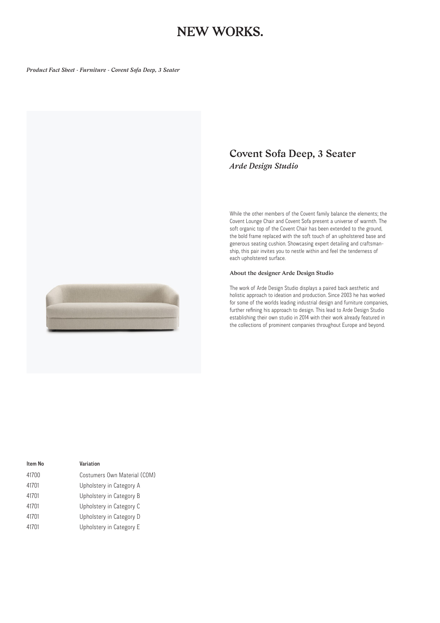### NEW WORKS.

*Product Fact Sheet - Furniture - Covent Sofa Deep, 3 Seater*



### *Covent Sofa Deep, 3 Seater Arde Design Studio*

While the other members of the Covent family balance the elements; the Covent Lounge Chair and Covent Sofa present a universe of warmth. The soft organic top of the Covent Chair has been extended to the ground, the bold frame replaced with the soft touch of an upholstered base and generous seating cushion. Showcasing expert detailing and craftsmanship, this pair invites you to nestle within and feel the tenderness of each upholstered surface.

#### *About the designer Arde Design Studio*

The work of Arde Design Studio displays a paired back aesthetic and holistic approach to ideation and production. Since 2003 he has worked for some of the worlds leading industrial design and furniture companies, further refining his approach to design. This lead to Arde Design Studio establishing their own studio in 2014 with their work already featured in the collections of prominent companies throughout Europe and beyond.

| ltem No | Variation                    |
|---------|------------------------------|
| 41700   | Costumers Own Material (COM) |
| 41701   | Upholstery in Category A     |
| 41701   | Upholstery in Category B     |
| 41701   | Upholstery in Category C     |
| 41701   | Upholstery in Category D     |
| 41701   | Upholstery in Category E     |
|         |                              |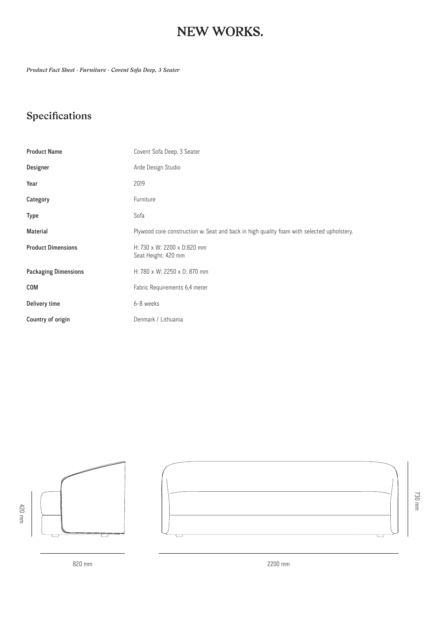# NEW WORKS.

*Product Fact Sheet - Furniture - Covent Sofa Deep, 3 Seater*

# *Specifications*

| <b>Product Name</b>         | Covent Sofa Deep, 3 Seater                                                                |
|-----------------------------|-------------------------------------------------------------------------------------------|
| Designer                    | Arde Design Studio                                                                        |
| Year                        | 2019                                                                                      |
| Category                    | Furniture                                                                                 |
| <b>Type</b>                 | Sofa                                                                                      |
| <b>Material</b>             | Plywood core construction w. Seat and back in high quality foam with selected upholstery. |
| <b>Product Dimensions</b>   | H: 730 x W: 2200 x D:820 mm<br>Seat Height: 420 mm                                        |
| <b>Packaging Dimensions</b> | H: 780 x W: 2250 x D: 870 mm                                                              |
| <b>COM</b>                  | Fabric Requirements 6,4 meter                                                             |
| Delivery time               | 6-8 weeks                                                                                 |
| Country of origin           | Denmark / Lithuania                                                                       |





820 mm